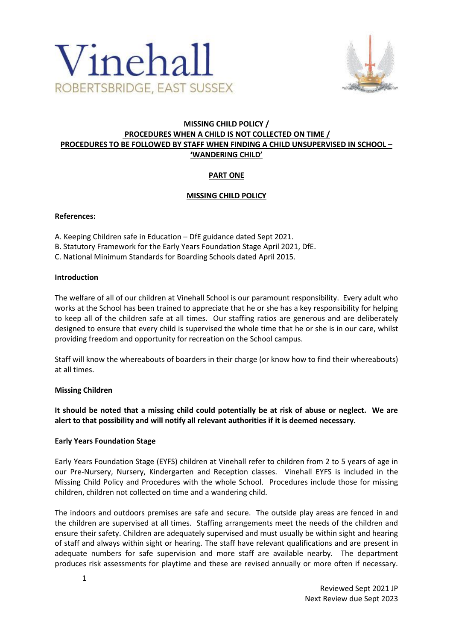



# **MISSING CHILD POLICY / PROCEDURES WHEN A CHILD IS NOT COLLECTED ON TIME / PROCEDURES TO BE FOLLOWED BY STAFF WHEN FINDING A CHILD UNSUPERVISED IN SCHOOL – 'WANDERING CHILD'**

# **PART ONE**

## **MISSING CHILD POLICY**

### **References:**

- A. Keeping Children safe in Education DfE guidance dated Sept 2021.
- B. Statutory Framework for the Early Years Foundation Stage April 2021, DfE.
- C. National Minimum Standards for Boarding Schools dated April 2015.

### **Introduction**

The welfare of all of our children at Vinehall School is our paramount responsibility. Every adult who works at the School has been trained to appreciate that he or she has a key responsibility for helping to keep all of the children safe at all times. Our staffing ratios are generous and are deliberately designed to ensure that every child is supervised the whole time that he or she is in our care, whilst providing freedom and opportunity for recreation on the School campus.

Staff will know the whereabouts of boarders in their charge (or know how to find their whereabouts) at all times.

## **Missing Children**

**It should be noted that a missing child could potentially be at risk of abuse or neglect. We are alert to that possibility and will notify all relevant authorities if it is deemed necessary.**

#### **Early Years Foundation Stage**

Early Years Foundation Stage (EYFS) children at Vinehall refer to children from 2 to 5 years of age in our Pre-Nursery, Nursery, Kindergarten and Reception classes. Vinehall EYFS is included in the Missing Child Policy and Procedures with the whole School. Procedures include those for missing children, children not collected on time and a wandering child.

The indoors and outdoors premises are safe and secure. The outside play areas are fenced in and the children are supervised at all times. Staffing arrangements meet the needs of the children and ensure their safety. Children are adequately supervised and must usually be within sight and hearing of staff and always within sight or hearing. The staff have relevant qualifications and are present in adequate numbers for safe supervision and more staff are available nearby. The department produces risk assessments for playtime and these are revised annually or more often if necessary.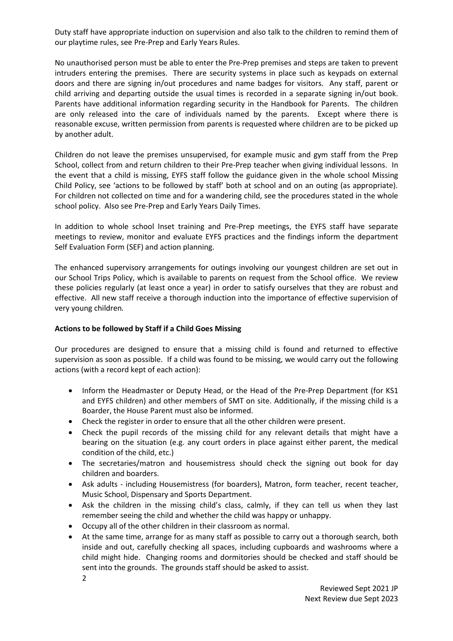Duty staff have appropriate induction on supervision and also talk to the children to remind them of our playtime rules, see Pre-Prep and Early Years Rules.

No unauthorised person must be able to enter the Pre-Prep premises and steps are taken to prevent intruders entering the premises. There are security systems in place such as keypads on external doors and there are signing in/out procedures and name badges for visitors. Any staff, parent or child arriving and departing outside the usual times is recorded in a separate signing in/out book. Parents have additional information regarding security in the Handbook for Parents. The children are only released into the care of individuals named by the parents. Except where there is reasonable excuse, written permission from parents is requested where children are to be picked up by another adult.

Children do not leave the premises unsupervised, for example music and gym staff from the Prep School, collect from and return children to their Pre-Prep teacher when giving individual lessons. In the event that a child is missing, EYFS staff follow the guidance given in the whole school Missing Child Policy, see 'actions to be followed by staff' both at school and on an outing (as appropriate). For children not collected on time and for a wandering child, see the procedures stated in the whole school policy. Also see Pre-Prep and Early Years Daily Times.

In addition to whole school Inset training and Pre-Prep meetings, the EYFS staff have separate meetings to review, monitor and evaluate EYFS practices and the findings inform the department Self Evaluation Form (SEF) and action planning.

The enhanced supervisory arrangements for outings involving our youngest children are set out in our School Trips Policy, which is available to parents on request from the School office. We review these policies regularly (at least once a year) in order to satisfy ourselves that they are robust and effective. All new staff receive a thorough induction into the importance of effective supervision of very young children*.*

## **Actions to be followed by Staff if a Child Goes Missing**

Our procedures are designed to ensure that a missing child is found and returned to effective supervision as soon as possible. If a child was found to be missing, we would carry out the following actions (with a record kept of each action):

- Inform the Headmaster or Deputy Head, or the Head of the Pre-Prep Department (for KS1 and EYFS children) and other members of SMT on site. Additionally, if the missing child is a Boarder, the House Parent must also be informed.
- Check the register in order to ensure that all the other children were present.
- Check the pupil records of the missing child for any relevant details that might have a bearing on the situation (e.g. any court orders in place against either parent, the medical condition of the child, etc.)
- The secretaries/matron and housemistress should check the signing out book for day children and boarders.
- Ask adults including Housemistress (for boarders), Matron, form teacher, recent teacher, Music School, Dispensary and Sports Department.
- Ask the children in the missing child's class, calmly, if they can tell us when they last remember seeing the child and whether the child was happy or unhappy.
- Occupy all of the other children in their classroom as normal.
- At the same time, arrange for as many staff as possible to carry out a thorough search, both inside and out, carefully checking all spaces, including cupboards and washrooms where a child might hide. Changing rooms and dormitories should be checked and staff should be sent into the grounds. The grounds staff should be asked to assist.

2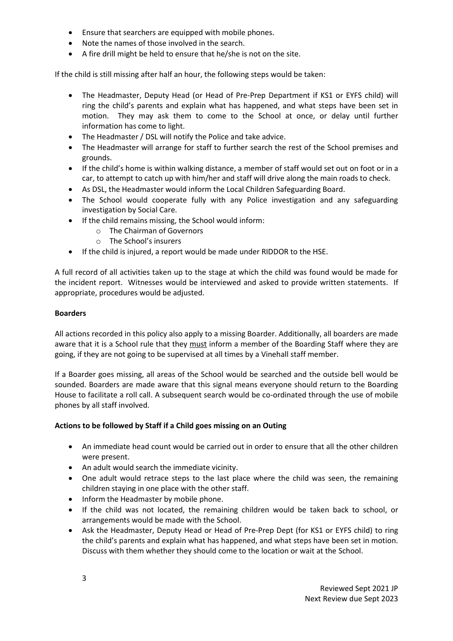- Ensure that searchers are equipped with mobile phones.
- Note the names of those involved in the search.
- A fire drill might be held to ensure that he/she is not on the site.

If the child is still missing after half an hour, the following steps would be taken:

- The Headmaster, Deputy Head (or Head of Pre-Prep Department if KS1 or EYFS child) will ring the child's parents and explain what has happened, and what steps have been set in motion. They may ask them to come to the School at once, or delay until further information has come to light.
- The Headmaster / DSL will notify the Police and take advice.
- The Headmaster will arrange for staff to further search the rest of the School premises and grounds.
- If the child's home is within walking distance, a member of staff would set out on foot or in a car, to attempt to catch up with him/her and staff will drive along the main roads to check.
- As DSL, the Headmaster would inform the Local Children Safeguarding Board.
- The School would cooperate fully with any Police investigation and any safeguarding investigation by Social Care.
- If the child remains missing, the School would inform:
	- o The Chairman of Governors
	- o The School's insurers
- If the child is injured, a report would be made under RIDDOR to the HSE.

A full record of all activities taken up to the stage at which the child was found would be made for the incident report. Witnesses would be interviewed and asked to provide written statements. If appropriate, procedures would be adjusted.

### **Boarders**

All actions recorded in this policy also apply to a missing Boarder. Additionally, all boarders are made aware that it is a School rule that they must inform a member of the Boarding Staff where they are going, if they are not going to be supervised at all times by a Vinehall staff member.

If a Boarder goes missing, all areas of the School would be searched and the outside bell would be sounded. Boarders are made aware that this signal means everyone should return to the Boarding House to facilitate a roll call. A subsequent search would be co-ordinated through the use of mobile phones by all staff involved.

## **Actions to be followed by Staff if a Child goes missing on an Outing**

- An immediate head count would be carried out in order to ensure that all the other children were present.
- An adult would search the immediate vicinity.
- One adult would retrace steps to the last place where the child was seen, the remaining children staying in one place with the other staff.
- Inform the Headmaster by mobile phone.
- If the child was not located, the remaining children would be taken back to school, or arrangements would be made with the School.
- Ask the Headmaster, Deputy Head or Head of Pre-Prep Dept (for KS1 or EYFS child) to ring the child's parents and explain what has happened, and what steps have been set in motion. Discuss with them whether they should come to the location or wait at the School.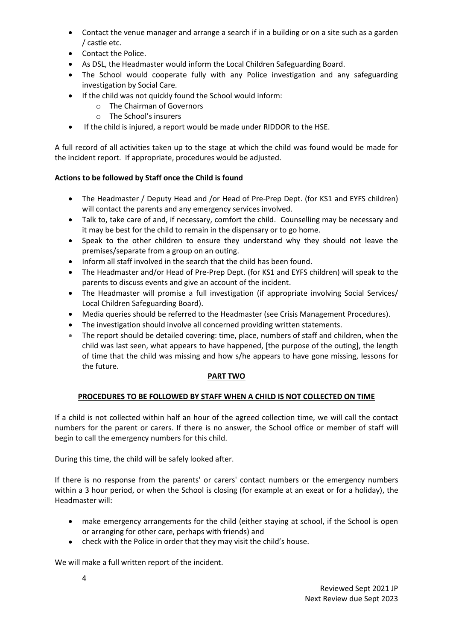- Contact the venue manager and arrange a search if in a building or on a site such as a garden / castle etc.
- Contact the Police.
- As DSL, the Headmaster would inform the Local Children Safeguarding Board.
- The School would cooperate fully with any Police investigation and any safeguarding investigation by Social Care.
- If the child was not quickly found the School would inform:
	- o The Chairman of Governors
	- o The School's insurers
- If the child is injured, a report would be made under RIDDOR to the HSE.

A full record of all activities taken up to the stage at which the child was found would be made for the incident report. If appropriate, procedures would be adjusted.

## **Actions to be followed by Staff once the Child is found**

- The Headmaster / Deputy Head and /or Head of Pre-Prep Dept. (for KS1 and EYFS children) will contact the parents and any emergency services involved.
- Talk to, take care of and, if necessary, comfort the child. Counselling may be necessary and it may be best for the child to remain in the dispensary or to go home.
- Speak to the other children to ensure they understand why they should not leave the premises/separate from a group on an outing.
- Inform all staff involved in the search that the child has been found.
- The Headmaster and/or Head of Pre-Prep Dept. (for KS1 and EYFS children) will speak to the parents to discuss events and give an account of the incident.
- The Headmaster will promise a full investigation (if appropriate involving Social Services/ Local Children Safeguarding Board).
- Media queries should be referred to the Headmaster (see Crisis Management Procedures).
- The investigation should involve all concerned providing written statements.
- The report should be detailed covering: time, place, numbers of staff and children, when the child was last seen, what appears to have happened, [the purpose of the outing], the length of time that the child was missing and how s/he appears to have gone missing, lessons for the future.

#### **PART TWO**

## **PROCEDURES TO BE FOLLOWED BY STAFF WHEN A CHILD IS NOT COLLECTED ON TIME**

If a child is not collected within half an hour of the agreed collection time, we will call the contact numbers for the parent or carers. If there is no answer, the School office or member of staff will begin to call the emergency numbers for this child.

During this time, the child will be safely looked after.

If there is no response from the parents' or carers' contact numbers or the emergency numbers within a 3 hour period, or when the School is closing (for example at an exeat or for a holiday), the Headmaster will:

- make emergency arrangements for the child (either staying at school, if the School is open or arranging for other care, perhaps with friends) and
- check with the Police in order that they may visit the child's house.

We will make a full written report of the incident.